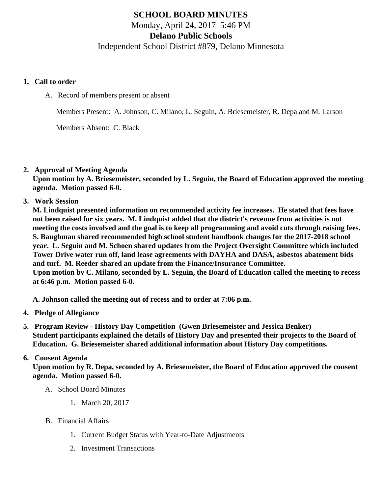# SCHOOL BOARD MINUTES Monday, April 24, 2017 5:46 PM Delano Public Schools Independent School District #879, Delano Minnesota

- 1. Call to order
	- A. Record of members present or absent

Members Present: A. Johnson, C. Milano, L. Seguin, A. Briesemeister, R. Depa and M. Larson

Members Absent: C. Black

2. Approval of Meeting Agenda

Upon motion by A. Briesemeister, seconded by L. Seguin, the Board of Education approved the meeting agenda. Motion passed 6-0.

3. Work Session

M. Lindquist presented information on recommended activity fee increases. He stated that fees have not been raised for six years. M. Lindquist added that the district's revenue from activities is not meeting the costs involved and the goal is to keep all programming and avoid cuts through raising fees. S. Baughman shared recommended high school student handbook changes for the 2017-2018 school year. L. Seguin and M. Schoen shared updates from the Project Oversight Committee which included Tower Drive water run off, land lease agreements with DAYHA and DASA, asbestos abatement bids and turf. M. Reeder shared an update from the Finance/Insurance Committee. Upon motion by C. Milano, seconded by L. Seguin, the Board of Education called the meeting to recess

at 6:46 p.m. Motion passed 6-0.

A. Johnson called the meeting out of recess and to order at 7:06 p.m.

- 4. Pledge of Allegiance
- 5. Program Review History Day Competition (Gwen Briesemeister and Jessica Benker) Student participants explained the details of History Day and presented their projects to the Board of Education. G. Briesemeister shared additional information about History Day competitions.

### 6. Consent Agenda

Upon motion by R. Depa, seconded by A. Briesemeister, the Board of Education approved the consent agenda. Motion passed 6-0.

- A. School Board Minutes
	- 1. [March 20, 201](/docs/district/District_Forms/School_Board_Minutes_3.20.17.pdf)7
- B. Financial Affairs
	- 1. [Current Budget Status with Year-to-Date Adjustm](/docs/district/Business_Office/Budget_Report_Apr_2017.pdf)ents
	- 2. [Investment Transactio](/docs/district/Business_Office/Investment_Schedule_Mar_2017.pdf)ns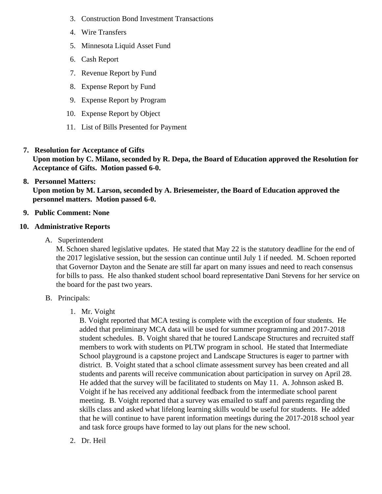- 3. [Construction Bond Investment Transacti](/docs/district/Business_Office/Bond_Investment_schedule_Mar_17.pdf)ons
- 4. [Wire Transfer](/docs/district/Business_Office/March_2017_Wire_Transfers.pdf)s
- 5. [Minnesota Liquid Asset Fun](/docs/district/Business_Office/March_2017_Liquid_Asset_Fund.pdf)d
- 6. [Cash Repo](/docs/district/Business_Office/March_2017_Cash_Report.pdf)rt
- 7. [Revenue Report by Fu](/docs/district/Business_Office/SCHOOL_BOARD_REPORTS_-_REVENUE_BY_FUND_TOTAL__(Date__6_2017).pdf)nd
- 8. [Expense Report by Fu](/docs/district/Business_Office/SCHOOL_BOARD_REPORTS_-_EXP_BY_FUND_TOTAL__(Date__6_2017).pdf)nd
- 9. [Expense Report by Progra](/docs/district/Business_Office/SCHOOL_BOARD_REPORTS_-_EXPENDITURES_BY_PROGRAM__(Date__6_2017).pdf)m
- 10. [Expense Report by Obje](/docs/district/Business_Office/SCHOOL_BOARD_REPORTS_-_EXPENDITURES_BY_OBJECT__(Date__6_2017).pdf)ct
- 11. [List of Bills Presented for Payme](/docs/district/Business_Office/DETAIL_OF_MONTHLY_BILLS_PRESENTED_FOR_PAYMENT_(Dates__02_01_17_-_04_19_17).pdf)nt
- 7. [Resolution for Acceptance of Gifts](/docs/district/Business_Office/Resolution_for_Acceptance_of_Gifts_4.24.17.pdf) Upon motion by C. Milano, seconded by R. Depa, the Board of Education approved the Resolution for Acceptance of Gifts. Motion passed 6-0.

## 8. [Personnel Matters:](/docs/district/04.24.17.pdf)

Upon motion by M. Larson, seconded by A. Briesemeister, the Board of Education approved the personnel matters. Motion passed 6-0.

- 9. Public Comment: None
- 10. Administrative Reports
	- A. Superintendent

M. Schoen shared legislative updates. He stated that May 22 is the statutory deadline for the end the 2017 legislative session, but the session can continue until July 1 if needed. M. Schoen reporte that Governor Dayton and the Senate are still far apart on many issues and need to reach consens for bills to pass. He also thanked student school board representative Dani Stevens for her service the board for the past two years.

- B. Principals:
	- 1. Mr. Voight

B. Voight reported that MCA testing is complete with the exception of four students. He added that preliminary MCA data will be used for summer programming and 2017-2018 student schedules. B. Voight shared that he toured Landscape Structures and recruited sta members to work with students on PLTW program in school. He stated that Intermediate School playground is a capstone project and Landscape Structures is eager to partner with district. B. Voight stated that a school climate assessment survey has been created and all students and parents will receive communication about participation in survey on April 28. He added that the survey will be facilitated to students on May 11. A. Johnson asked B. Voight if he has received any additional feedback from the intermediate school parent meeting. B. Voight reported that a survey was emailed to staff and parents regarding the skills class and asked what lifelong learning skills would be useful for students. He added that he will continue to have parent information meetings during the 2017-2018 school year and task force groups have formed to lay out plans for the new school.

2. Dr. Heil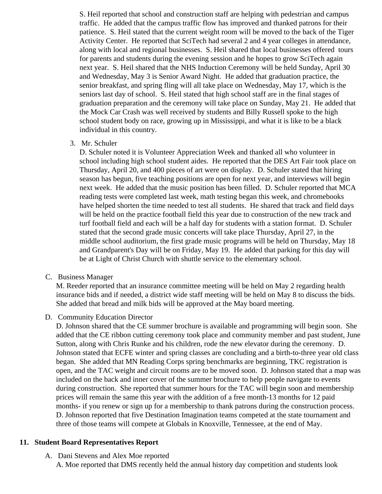S. Heil reported that school and construction staff are helping with pedestrian and campus traffic. He added that the campus traffic flow has improved and thanked patrons for their patience. S. Heil stated that the current weight room will be moved to the back of the Tiger Activity Center. He reported that SciTech had several 2 and 4 year colleges in attendance, along with local and regional businesses. S. Heil shared that local businesses offered tours for parents and students during the evening session and he hopes to grow SciTech again next year. S. Heil shared that the NHS Induction Ceremony will be held Sunday, April 30 and Wednesday, May 3 is Senior Award Night. He added that graduation practice, the senior breakfast, and spring fling will all take place on Wednesday, May 17, which is the seniors last day of school. S. Heil stated that high school staff are in the final stages of graduation preparation and the ceremony will take place on Sunday, May 21. He added that the Mock Car Crash was well received by students and Billy Russell spoke to the high school student body on race, growing up in Mississippi, and what it is like to be a black individual in this country.

3. Mr. Schuler

D. Schuler noted it is Volunteer Appreciation Week and thanked all who volunteer in school including high school student aides. He reported that the DES Art Fair took place on Thursday, April 20, and 400 pieces of art were on display. D. Schuler stated that hiring season has begun, five teaching positions are open for next year, and interviews will begin next week. He added that the music position has been filled. D. Schuler reported that MCA reading tests were completed last week, math testing began this week, and chromebooks have helped shorten the time needed to test all students. He shared that track and field days will be held on the practice football field this year due to construction of the new track and turf football field and each will be a half day for students with a station format. D. Schuler stated that the second grade music concerts will take place Thursday, April 27, in the middle school auditorium, the first grade music programs will be held on Thursday, May 18 and Grandparent's Day will be on Friday, May 19. He added that parking for this day will be at Light of Christ Church with shuttle service to the elementary school.

C. Business Manager

M. Reeder reported that an insurance committee meeting will be held on May 2 regarding health insurance bids and if needed, a district wide staff meeting will be held on May 8 to discuss the bids. She added that bread and milk bids will be approved at the May board meeting.

D. Community Education Director

D. Johnson shared that the CE summer brochure is available and programming will begin soon. She added that the CE ribbon cutting ceremony took place and community member and past student, June Sutton, along with Chris Runke and his children, rode the new elevator during the ceremony. D. Johnson stated that ECFE winter and spring classes are concluding and a birth-to-three year old class began. She added that MN Reading Corps spring benchmarks are beginning, TKC registration is open, and the TAC weight and circuit rooms are to be moved soon. D. Johnson stated that a map was included on the back and inner cover of the summer brochure to help people navigate to events during construction. She reported that summer hours for the TAC will begin soon and membership prices will remain the same this year with the addition of a free month-13 months for 12 paid months- if you renew or sign up for a membership to thank patrons during the construction process. D. Johnson reported that five Destination Imagination teams competed at the state tournament and three of those teams will compete at Globals in Knoxville, Tennessee, at the end of May.

#### **11. Student Board Representatives Report**

A. Dani Stevens and Alex Moe reported A. Moe reported that DMS recently held the annual history day competition and students look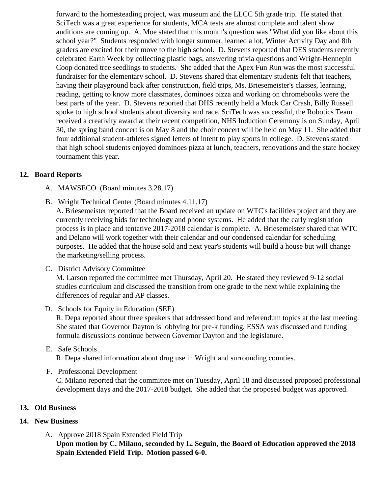forward to the homesteading project, wax museum and the LLCC 5th grade trip. He stated that SciTech was a great experience for students, MCA tests are almost complete and talent show auditions are coming up. A. Moe stated that this month's question was "What did you like about the school year?" Students responded with longer summer, learned a lot, Winter Activity Day and 8th graders are excited for their move to the high school. D. Stevens reported that DES students recently celebrated Earth Week by collecting plastic bags, answering trivia questions and Wright-Hennepin Coop donated tree seedlings to students. She added that the Apex Fun Run was the most succes fundraiser for the elementary school. D. Stevens shared that elementary students felt that teacher having their playground back after construction, field trips, Ms. Briesemeister's classes, learning, reading, getting to know more classmates, dominoes pizza and working on chromebooks were the best parts of the year. D. Stevens reported that DHS recently held a Mock Car Crash, Billy Russel spoke to high school students about diversity and race, SciTech was successful, the Robotics Team received a creativity award at their recent competition, NHS Induction Ceremony is on Sunday, Ap 30, the spring band concert is on May 8 and the choir concert will be held on May 11. She added to four additional student-athletes signed letters of intent to play sports in college. D. Stevens stated that high school students enjoyed dominoes pizza at lunch, teachers, renovations and the state ho tournament this year.

## 12. Board Reports

- A. MAWSECO Board minutes 3.28.17
- B. Wright Technical Center Board minutes 4.11.17

A. Briesemeister reported that the Board received an update on WTC's facilities project and they a currently receiving bids for technology and phone systems. He added that the early registration process is in place and tentative 2017-2018 calendar is complete. A. Briesemeister shared that W and Delano will work together with their calendar and our condensed calendar for scheduling purposes. He added that the house sold and next year's students will build a house but will change the marketing/selling process.

C. District Advisory Committee

M. Larson reported the committee met Thursday, April 20. He stated they reviewed 9-12 social studies curriculum and discussed the transition from one grade to the next while explaining the differences of regular and AP classes.

D. Schools for Equity in Education (SEE)

R. Depa reported about three speakers that addressed bond and referendum topics at the last meet She stated that Governor Dayton is lobbying for pre-k funding, ESSA was discussed and funding formula discussions continue between Governor Dayton and the legislature.

#### E. Safe Schools R. Depa shared information about drug use in Wright and surrounding counties.

### F. Professional Development

C. Milano reported that the committee met on Tuesday, April 18 and discussed proposed professio development days and the 2017-2018 budget. She added that the proposed budget was approved.

- 13. Old Business
- 14. New Business
	- A. Approve 2018 Spain Extended Field Trip Upon motion by C. Milano, seconded by L. Seguin, the Board of Education approved the 2018 Spain Extended Field Trip. Motion passed 6-0.